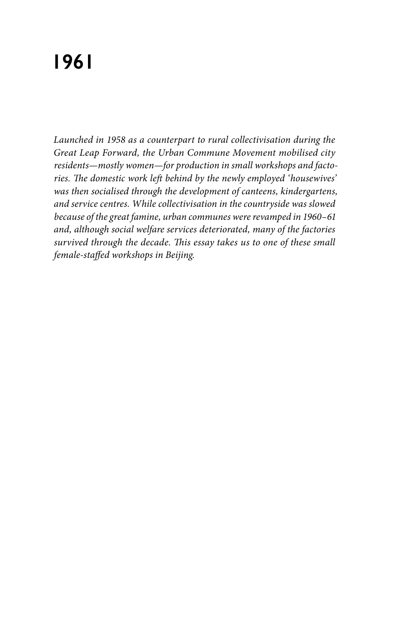# **1961**

*Launched in 1958 as a counterpart to rural collectivisation during the Great Leap Forward, the Urban Commune Movement mobilised city residents—mostly women—for production in small workshops and factories. The domestic work left behind by the newly employed 'housewives' was then socialised through the development of canteens, kindergartens, and service centres. While collectivisation in the countryside was slowed because of the great famine, urban communes were revamped in 1960–61 and, although social welfare services deteriorated, many of the factories survived through the decade. This essay takes us to one of these small female-staffed workshops in Beijing.*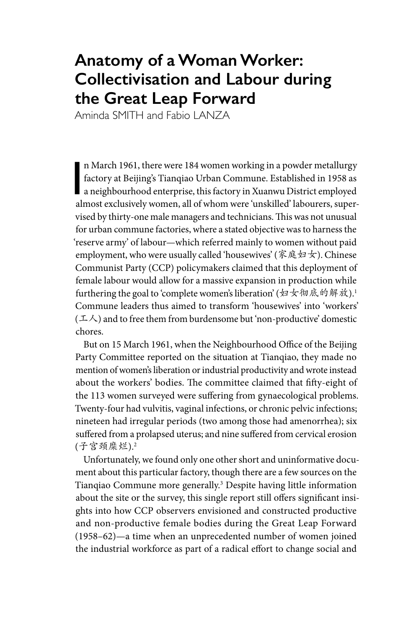## **Anatomy of a Woman Worker: Collectivisation and Labour during the Great Leap Forward**

Aminda SMITH and Fabio LANZA

n March 1961, there were 184 women working in a powder metallurgy<br>factory at Beijing's Tianqiao Urban Commune. Established in 1958 as<br>a neighbourhood enterprise, this factory in Xuanwu District employed<br>almost a relusively n March 1961, there were 184 women working in a powder metallurgy factory at Beijing's Tianqiao Urban Commune. Established in 1958 as almost exclusively women, all of whom were 'unskilled' labourers, supervised by thirty-one male managers and technicians. This was not unusual for urban commune factories, where a stated objective was to harness the 'reserve army' of labour—which referred mainly to women without paid employment, who were usually called 'housewives' (家庭妇女). Chinese Communist Party (CCP) policymakers claimed that this deployment of female labour would allow for a massive expansion in production while furthering the goal to 'complete women's liberation' (妇女彻底的解放).<sup>1</sup> Commune leaders thus aimed to transform 'housewives' into 'workers'  $(1/\lambda)$  and to free them from burdensome but 'non-productive' domestic chores.

But on 15 March 1961, when the Neighbourhood Office of the Beijing Party Committee reported on the situation at Tianqiao, they made no mention of women's liberation or industrial productivity and wrote instead about the workers' bodies. The committee claimed that fifty-eight of the 113 women surveyed were suffering from gynaecological problems. Twenty-four had vulvitis, vaginal infections, or chronic pelvic infections; nineteen had irregular periods (two among those had amenorrhea); six suffered from a prolapsed uterus; and nine suffered from cervical erosion (子宫颈糜烂).2

Unfortunately, we found only one other short and uninformative document about this particular factory, though there are a few sources on the Tianqiao Commune more generally.3 Despite having little information about the site or the survey, this single report still offers significant insights into how CCP observers envisioned and constructed productive and non-productive female bodies during the Great Leap Forward (1958–62)—a time when an unprecedented number of women joined the industrial workforce as part of a radical effort to change social and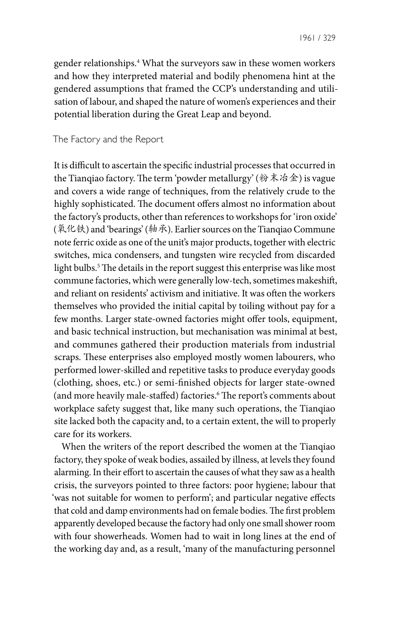gender relationships.4 What the surveyors saw in these women workers and how they interpreted material and bodily phenomena hint at the gendered assumptions that framed the CCP's understanding and utilisation of labour, and shaped the nature of women's experiences and their potential liberation during the Great Leap and beyond.

The Factory and the Report

It is difficult to ascertain the specific industrial processes that occurred in the Tianqiao factory. The term 'powder metallurgy' (粉末冶金) is vague and covers a wide range of techniques, from the relatively crude to the highly sophisticated. The document offers almost no information about the factory's products, other than references to workshops for 'iron oxide' (氧化铁) and 'bearings' (轴承). Earlier sources on the Tianqiao Commune note ferric oxide as one of the unit's major products, together with electric switches, mica condensers, and tungsten wire recycled from discarded light bulbs.5 The details in the report suggest this enterprise was like most commune factories, which were generally low-tech, sometimes makeshift, and reliant on residents' activism and initiative. It was often the workers themselves who provided the initial capital by toiling without pay for a few months. Larger state-owned factories might offer tools, equipment, and basic technical instruction, but mechanisation was minimal at best, and communes gathered their production materials from industrial scraps. These enterprises also employed mostly women labourers, who performed lower-skilled and repetitive tasks to produce everyday goods (clothing, shoes, etc.) or semi-finished objects for larger state-owned (and more heavily male-staffed) factories.<sup>6</sup> The report's comments about workplace safety suggest that, like many such operations, the Tianqiao site lacked both the capacity and, to a certain extent, the will to properly care for its workers.

When the writers of the report described the women at the Tianqiao factory, they spoke of weak bodies, assailed by illness, at levels they found alarming. In their effort to ascertain the causes of what they saw as a health crisis, the surveyors pointed to three factors: poor hygiene; labour that 'was not suitable for women to perform'; and particular negative effects that cold and damp environments had on female bodies. The first problem apparently developed because the factory had only one small shower room with four showerheads. Women had to wait in long lines at the end of the working day and, as a result, 'many of the manufacturing personnel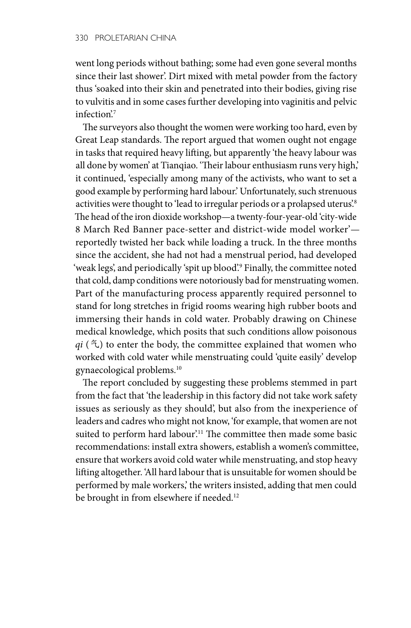went long periods without bathing; some had even gone several months since their last shower'. Dirt mixed with metal powder from the factory thus 'soaked into their skin and penetrated into their bodies, giving rise to vulvitis and in some cases further developing into vaginitis and pelvic infection<sup>'7</sup>

The surveyors also thought the women were working too hard, even by Great Leap standards. The report argued that women ought not engage in tasks that required heavy lifting, but apparently 'the heavy labour was all done by women' at Tianqiao. 'Their labour enthusiasm runs very high,' it continued, 'especially among many of the activists, who want to set a good example by performing hard labour.' Unfortunately, such strenuous activities were thought to 'lead to irregular periods or a prolapsed uterus'.<sup>8</sup> The head of the iron dioxide workshop—a twenty-four-year-old 'city-wide 8 March Red Banner pace-setter and district-wide model worker' reportedly twisted her back while loading a truck. In the three months since the accident, she had not had a menstrual period, had developed 'weak legs', and periodically 'spit up blood'.9 Finally, the committee noted that cold, damp conditions were notoriously bad for menstruating women. Part of the manufacturing process apparently required personnel to stand for long stretches in frigid rooms wearing high rubber boots and immersing their hands in cold water. Probably drawing on Chinese medical knowledge, which posits that such conditions allow poisonous  $qi$  ( $\epsilon$ ) to enter the body, the committee explained that women who worked with cold water while menstruating could 'quite easily' develop gynaecological problems.10

The report concluded by suggesting these problems stemmed in part from the fact that 'the leadership in this factory did not take work safety issues as seriously as they should', but also from the inexperience of leaders and cadres who might not know, 'for example, that women are not suited to perform hard labour.<sup>11</sup> The committee then made some basic recommendations: install extra showers, establish a women's committee, ensure that workers avoid cold water while menstruating, and stop heavy lifting altogether. 'All hard labour that is unsuitable for women should be performed by male workers,' the writers insisted, adding that men could be brought in from elsewhere if needed.<sup>12</sup>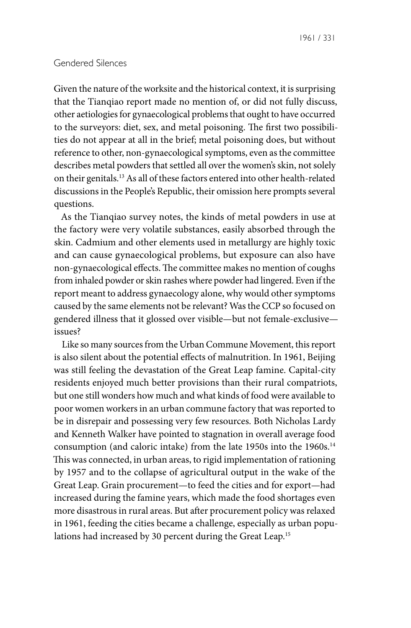#### Gendered Silences

Given the nature of the worksite and the historical context, it is surprising that the Tianqiao report made no mention of, or did not fully discuss, other aetiologies for gynaecological problems that ought to have occurred to the surveyors: diet, sex, and metal poisoning. The first two possibilities do not appear at all in the brief; metal poisoning does, but without reference to other, non-gynaecological symptoms, even as the committee describes metal powders that settled all over the women's skin, not solely on their genitals.13 As all of these factors entered into other health-related discussions in the People's Republic, their omission here prompts several questions.

As the Tianqiao survey notes, the kinds of metal powders in use at the factory were very volatile substances, easily absorbed through the skin. Cadmium and other elements used in metallurgy are highly toxic and can cause gynaecological problems, but exposure can also have non-gynaecological effects. The committee makes no mention of coughs from inhaled powder or skin rashes where powder had lingered. Even if the report meant to address gynaecology alone, why would other symptoms caused by the same elements not be relevant? Was the CCP so focused on gendered illness that it glossed over visible—but not female-exclusive issues?

Like so many sources from the Urban Commune Movement, this report is also silent about the potential effects of malnutrition. In 1961, Beijing was still feeling the devastation of the Great Leap famine. Capital-city residents enjoyed much better provisions than their rural compatriots, but one still wonders how much and what kinds of food were available to poor women workers in an urban commune factory that was reported to be in disrepair and possessing very few resources. Both Nicholas Lardy and Kenneth Walker have pointed to stagnation in overall average food consumption (and caloric intake) from the late 1950s into the 1960s.<sup>14</sup> This was connected, in urban areas, to rigid implementation of rationing by 1957 and to the collapse of agricultural output in the wake of the Great Leap. Grain procurement—to feed the cities and for export—had increased during the famine years, which made the food shortages even more disastrous in rural areas. But after procurement policy was relaxed in 1961, feeding the cities became a challenge, especially as urban populations had increased by 30 percent during the Great Leap.<sup>15</sup>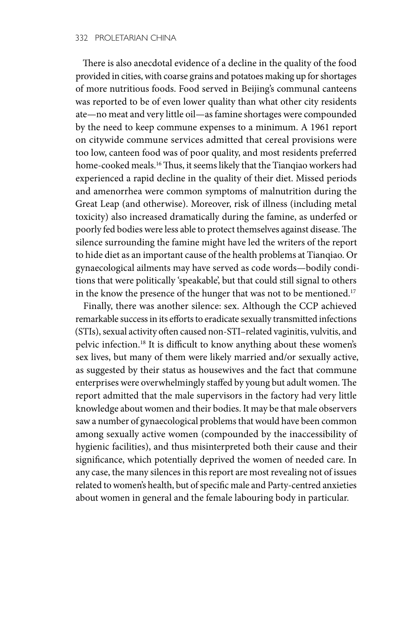There is also anecdotal evidence of a decline in the quality of the food provided in cities, with coarse grains and potatoes making up for shortages of more nutritious foods. Food served in Beijing's communal canteens was reported to be of even lower quality than what other city residents ate—no meat and very little oil—as famine shortages were compounded by the need to keep commune expenses to a minimum. A 1961 report on citywide commune services admitted that cereal provisions were too low, canteen food was of poor quality, and most residents preferred home-cooked meals.<sup>16</sup> Thus, it seems likely that the Tianqiao workers had experienced a rapid decline in the quality of their diet. Missed periods and amenorrhea were common symptoms of malnutrition during the Great Leap (and otherwise). Moreover, risk of illness (including metal toxicity) also increased dramatically during the famine, as underfed or poorly fed bodies were less able to protect themselves against disease. The silence surrounding the famine might have led the writers of the report to hide diet as an important cause of the health problems at Tianqiao. Or gynaecological ailments may have served as code words—bodily conditions that were politically 'speakable', but that could still signal to others in the know the presence of the hunger that was not to be mentioned.<sup>17</sup>

Finally, there was another silence: sex. Although the CCP achieved remarkable success in its efforts to eradicate sexually transmitted infections (STIs), sexual activity often caused non-STI–related vaginitis, vulvitis, and pelvic infection.18 It is difficult to know anything about these women's sex lives, but many of them were likely married and/or sexually active, as suggested by their status as housewives and the fact that commune enterprises were overwhelmingly staffed by young but adult women. The report admitted that the male supervisors in the factory had very little knowledge about women and their bodies. It may be that male observers saw a number of gynaecological problems that would have been common among sexually active women (compounded by the inaccessibility of hygienic facilities), and thus misinterpreted both their cause and their significance, which potentially deprived the women of needed care. In any case, the many silences in this report are most revealing not of issues related to women's health, but of specific male and Party-centred anxieties about women in general and the female labouring body in particular.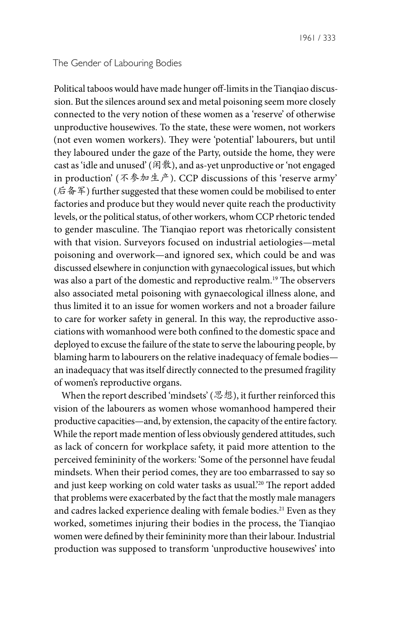#### The Gender of Labouring Bodies

Political taboos would have made hunger off-limits in the Tianqiao discussion. But the silences around sex and metal poisoning seem more closely connected to the very notion of these women as a 'reserve' of otherwise unproductive housewives. To the state, these were women, not workers (not even women workers). They were 'potential' labourers, but until they laboured under the gaze of the Party, outside the home, they were cast as 'idle and unused' (闲散), and as-yet unproductive or 'not engaged in production' (不参加生产). CCP discussions of this 'reserve army' (后备军) further suggested that these women could be mobilised to enter factories and produce but they would never quite reach the productivity levels, or the political status, of other workers, whom CCP rhetoric tended to gender masculine. The Tianqiao report was rhetorically consistent with that vision. Surveyors focused on industrial aetiologies—metal poisoning and overwork—and ignored sex, which could be and was discussed elsewhere in conjunction with gynaecological issues, but which was also a part of the domestic and reproductive realm.19 The observers also associated metal poisoning with gynaecological illness alone, and thus limited it to an issue for women workers and not a broader failure to care for worker safety in general. In this way, the reproductive associations with womanhood were both confined to the domestic space and deployed to excuse the failure of the state to serve the labouring people, by blaming harm to labourers on the relative inadequacy of female bodies an inadequacy that was itself directly connected to the presumed fragility of women's reproductive organs.

When the report described 'mindsets' (思想), it further reinforced this vision of the labourers as women whose womanhood hampered their productive capacities—and, by extension, the capacity of the entire factory. While the report made mention of less obviously gendered attitudes, such as lack of concern for workplace safety, it paid more attention to the perceived femininity of the workers: 'Some of the personnel have feudal mindsets. When their period comes, they are too embarrassed to say so and just keep working on cold water tasks as usual.<sup>20</sup> The report added that problems were exacerbated by the fact that the mostly male managers and cadres lacked experience dealing with female bodies.<sup>21</sup> Even as they worked, sometimes injuring their bodies in the process, the Tianqiao women were defined by their femininity more than their labour. Industrial production was supposed to transform 'unproductive housewives' into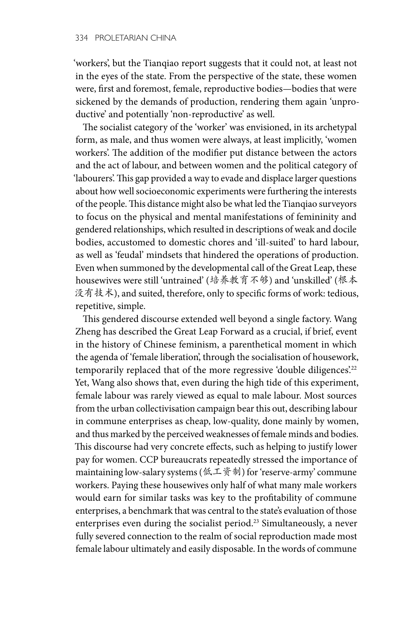'workers', but the Tianqiao report suggests that it could not, at least not in the eyes of the state. From the perspective of the state, these women were, first and foremost, female, reproductive bodies—bodies that were sickened by the demands of production, rendering them again 'unproductive' and potentially 'non-reproductive' as well.

The socialist category of the 'worker' was envisioned, in its archetypal form, as male, and thus women were always, at least implicitly, 'women workers'. The addition of the modifier put distance between the actors and the act of labour, and between women and the political category of 'labourers'. This gap provided a way to evade and displace larger questions about how well socioeconomic experiments were furthering the interests of the people. This distance might also be what led the Tianqiao surveyors to focus on the physical and mental manifestations of femininity and gendered relationships, which resulted in descriptions of weak and docile bodies, accustomed to domestic chores and 'ill-suited' to hard labour, as well as 'feudal' mindsets that hindered the operations of production. Even when summoned by the developmental call of the Great Leap, these housewives were still 'untrained' (培养教育不够) and 'unskilled' (根本 没有技术), and suited, therefore, only to specific forms of work: tedious, repetitive, simple.

This gendered discourse extended well beyond a single factory. Wang Zheng has described the Great Leap Forward as a crucial, if brief, event in the history of Chinese feminism, a parenthetical moment in which the agenda of 'female liberation', through the socialisation of housework, temporarily replaced that of the more regressive 'double diligences'.<sup>22</sup> Yet, Wang also shows that, even during the high tide of this experiment, female labour was rarely viewed as equal to male labour. Most sources from the urban collectivisation campaign bear this out, describing labour in commune enterprises as cheap, low-quality, done mainly by women, and thus marked by the perceived weaknesses of female minds and bodies. This discourse had very concrete effects, such as helping to justify lower pay for women. CCP bureaucrats repeatedly stressed the importance of maintaining low-salary systems (低工资制) for 'reserve-army' commune workers. Paying these housewives only half of what many male workers would earn for similar tasks was key to the profitability of commune enterprises, a benchmark that was central to the state's evaluation of those enterprises even during the socialist period.23 Simultaneously, a never fully severed connection to the realm of social reproduction made most female labour ultimately and easily disposable. In the words of commune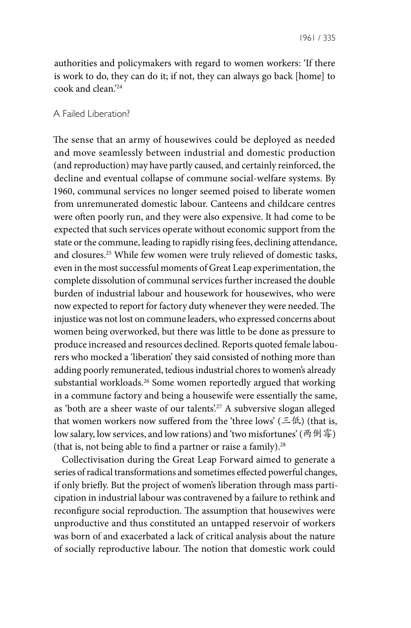authorities and policymakers with regard to women workers: 'If there is work to do, they can do it; if not, they can always go back [home] to cook and clean.'24

### A Failed Liberation?

The sense that an army of housewives could be deployed as needed and move seamlessly between industrial and domestic production (and reproduction) may have partly caused, and certainly reinforced, the decline and eventual collapse of commune social-welfare systems. By 1960, communal services no longer seemed poised to liberate women from unremunerated domestic labour. Canteens and childcare centres were often poorly run, and they were also expensive. It had come to be expected that such services operate without economic support from the state or the commune, leading to rapidly rising fees, declining attendance, and closures.25 While few women were truly relieved of domestic tasks, even in the most successful moments of Great Leap experimentation, the complete dissolution of communal services further increased the double burden of industrial labour and housework for housewives, who were now expected to report for factory duty whenever they were needed. The injustice was not lost on commune leaders, who expressed concerns about women being overworked, but there was little to be done as pressure to produce increased and resources declined. Reports quoted female labourers who mocked a 'liberation' they said consisted of nothing more than adding poorly remunerated, tedious industrial chores to women's already substantial workloads.26 Some women reportedly argued that working in a commune factory and being a housewife were essentially the same, as 'both are a sheer waste of our talents'.<sup>27</sup> A subversive slogan alleged that women workers now suffered from the 'three lows' ( $\leq$  <sup>f(k)</sup>) (that is, low salary, low services, and low rations) and 'two misfortunes' (两倒霉) (that is, not being able to find a partner or raise a family).<sup>28</sup>

Collectivisation during the Great Leap Forward aimed to generate a series of radical transformations and sometimes effected powerful changes, if only briefly. But the project of women's liberation through mass participation in industrial labour was contravened by a failure to rethink and reconfigure social reproduction. The assumption that housewives were unproductive and thus constituted an untapped reservoir of workers was born of and exacerbated a lack of critical analysis about the nature of socially reproductive labour. The notion that domestic work could